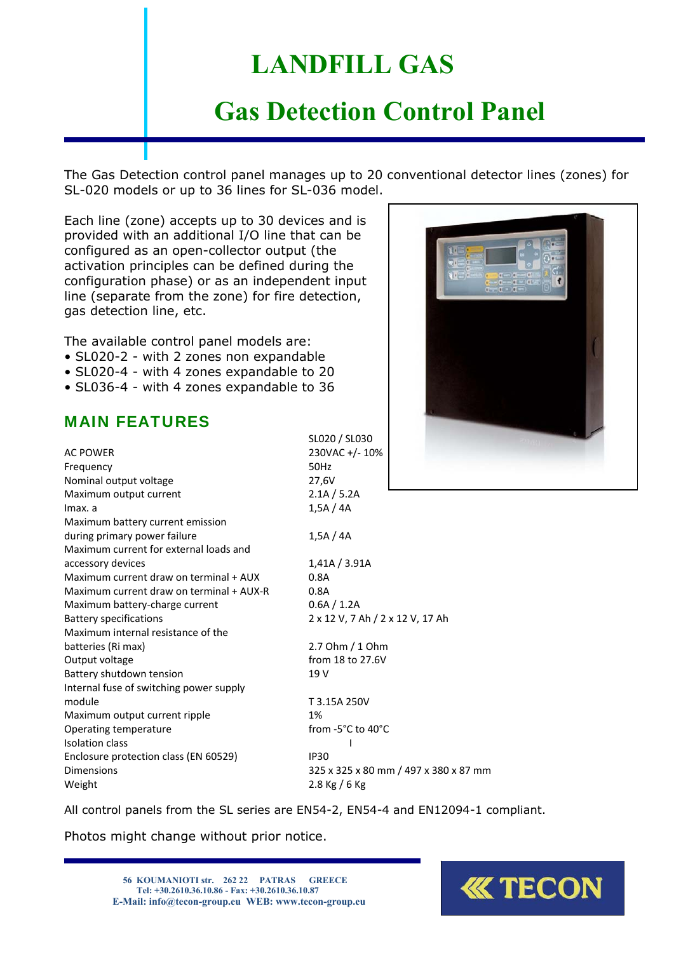## **LANDFILL GAS**

## **Gas Detection Control Panel**

The Gas Detection control panel manages up to 20 conventional detector lines (zones) for SL-020 models or up to 36 lines for SL-036 model.

Each line (zone) accepts up to 30 devices and is provided with an additional I/O line that can be configured as an open-collector output (the activation principles can be defined during the configuration phase) or as an independent input line (separate from the zone) for fire detection, gas detection line, etc.

The available control panel models are:

- SL020-2 with 2 zones non expandable
- SL020-4 with 4 zones expandable to 20
- SL036-4 with 4 zones expandable to 36

#### MAIN FEATURES

| <b>AC POWER</b>                          | 230VAC +/- 1     |
|------------------------------------------|------------------|
| Frequency                                | 50Hz             |
| Nominal output voltage                   | 27,6V            |
| Maximum output current                   | 2.1A / 5.2A      |
| Imax. a                                  | 1,5A/4A          |
| Maximum battery current emission         |                  |
| during primary power failure             | 1,5A/4A          |
| Maximum current for external loads and   |                  |
| accessory devices                        | 1,41A / 3.91     |
| Maximum current draw on terminal + AUX   | 0.8A             |
| Maximum current draw on terminal + AUX-R | 0.8A             |
| Maximum battery-charge current           | $0.6$ A $/$ 1.2A |
| <b>Battery specifications</b>            | 2 x 12 V, 7 A    |
| Maximum internal resistance of the       |                  |
| batteries (Ri max)                       | $2.7$ Ohm $/1$   |
| Output voltage                           | from 18 to 2     |
| Battery shutdown tension                 | 19 V             |
| Internal fuse of switching power supply  |                  |
| module                                   | T 3.15A 250\     |
| Maximum output current ripple            | 1%               |
| Operating temperature                    | from -5°C to     |
| Isolation class                          |                  |
| Enclosure protection class (EN 60529)    | <b>IP30</b>      |
| <b>Dimensions</b>                        | 325 x 325 x 8    |
| Weight                                   | 2.8 Kg / 6 Kg    |

SL020 / SL030 230VAC +/- 10%  $2.1A / 5.2A$  $1,5A / 4A$ 

1,41A / 3.91A  $0.6A / 1.2A$ 2 x 12 V, 7 Ah / 2 x 12 V, 17 Ah

 $2.7$  Ohm  $/$  1 Ohm from 18 to 27.6V

module T 3.15A 250V from -5°C to 40°C 325 x 325 x 80 mm / 497 x 380 x 87 mm

All control panels from the SL series are EN54-2, EN54-4 and EN12094-1 compliant.

Photos might change without prior notice.